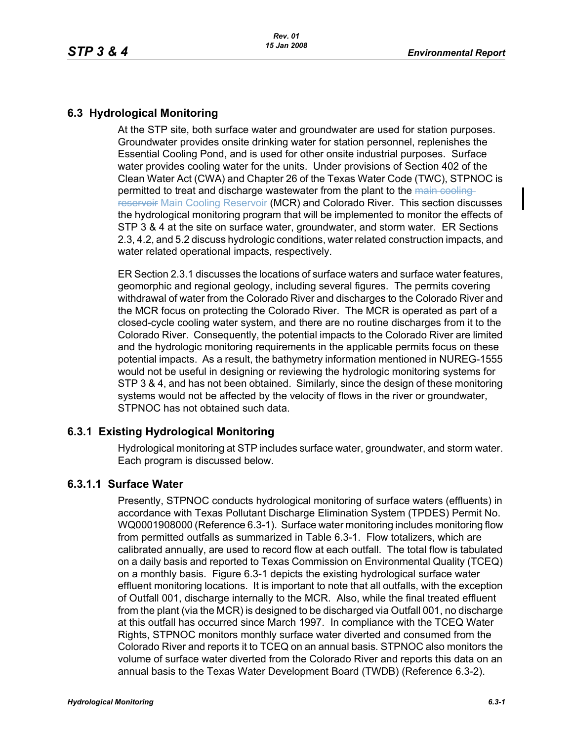# **6.3 Hydrological Monitoring**

At the STP site, both surface water and groundwater are used for station purposes. Groundwater provides onsite drinking water for station personnel, replenishes the Essential Cooling Pond, and is used for other onsite industrial purposes. Surface water provides cooling water for the units. Under provisions of Section 402 of the Clean Water Act (CWA) and Chapter 26 of the Texas Water Code (TWC), STPNOC is permitted to treat and discharge wastewater from the plant to the main coolingreservoir Main Cooling Reservoir (MCR) and Colorado River. This section discusses the hydrological monitoring program that will be implemented to monitor the effects of STP 3 & 4 at the site on surface water, groundwater, and storm water. ER Sections 2.3, 4.2, and 5.2 discuss hydrologic conditions, water related construction impacts, and water related operational impacts, respectively.

ER Section 2.3.1 discusses the locations of surface waters and surface water features, geomorphic and regional geology, including several figures. The permits covering withdrawal of water from the Colorado River and discharges to the Colorado River and the MCR focus on protecting the Colorado River. The MCR is operated as part of a closed-cycle cooling water system, and there are no routine discharges from it to the Colorado River. Consequently, the potential impacts to the Colorado River are limited and the hydrologic monitoring requirements in the applicable permits focus on these potential impacts. As a result, the bathymetry information mentioned in NUREG-1555 would not be useful in designing or reviewing the hydrologic monitoring systems for STP 3 & 4, and has not been obtained. Similarly, since the design of these monitoring systems would not be affected by the velocity of flows in the river or groundwater, STPNOC has not obtained such data.

## **6.3.1 Existing Hydrological Monitoring**

Hydrological monitoring at STP includes surface water, groundwater, and storm water. Each program is discussed below.

## **6.3.1.1 Surface Water**

Presently, STPNOC conducts hydrological monitoring of surface waters (effluents) in accordance with Texas Pollutant Discharge Elimination System (TPDES) Permit No. WQ0001908000 (Reference 6.3-1). Surface water monitoring includes monitoring flow from permitted outfalls as summarized in Table 6.3-1. Flow totalizers, which are calibrated annually, are used to record flow at each outfall. The total flow is tabulated on a daily basis and reported to Texas Commission on Environmental Quality (TCEQ) on a monthly basis. Figure 6.3-1 depicts the existing hydrological surface water effluent monitoring locations. It is important to note that all outfalls, with the exception of Outfall 001, discharge internally to the MCR. Also, while the final treated effluent from the plant (via the MCR) is designed to be discharged via Outfall 001, no discharge at this outfall has occurred since March 1997. In compliance with the TCEQ Water Rights, STPNOC monitors monthly surface water diverted and consumed from the Colorado River and reports it to TCEQ on an annual basis. STPNOC also monitors the volume of surface water diverted from the Colorado River and reports this data on an annual basis to the Texas Water Development Board (TWDB) (Reference 6.3-2).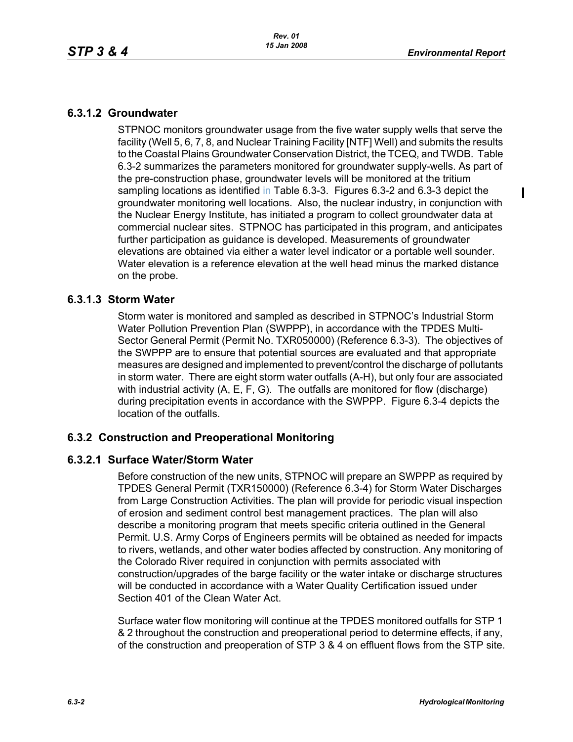$\mathbf I$ 

# **6.3.1.2 Groundwater**

STPNOC monitors groundwater usage from the five water supply wells that serve the facility (Well 5, 6, 7, 8, and Nuclear Training Facility [NTF] Well) and submits the results to the Coastal Plains Groundwater Conservation District, the TCEQ, and TWDB. Table 6.3-2 summarizes the parameters monitored for groundwater supply-wells. As part of the pre-construction phase, groundwater levels will be monitored at the tritium sampling locations as identified in Table 6.3-3. Figures 6.3-2 and 6.3-3 depict the groundwater monitoring well locations. Also, the nuclear industry, in conjunction with the Nuclear Energy Institute, has initiated a program to collect groundwater data at commercial nuclear sites. STPNOC has participated in this program, and anticipates further participation as guidance is developed. Measurements of groundwater elevations are obtained via either a water level indicator or a portable well sounder. Water elevation is a reference elevation at the well head minus the marked distance on the probe.

### **6.3.1.3 Storm Water**

Storm water is monitored and sampled as described in STPNOC's Industrial Storm Water Pollution Prevention Plan (SWPPP), in accordance with the TPDES Multi-Sector General Permit (Permit No. TXR050000) (Reference 6.3-3). The objectives of the SWPPP are to ensure that potential sources are evaluated and that appropriate measures are designed and implemented to prevent/control the discharge of pollutants in storm water. There are eight storm water outfalls (A-H), but only four are associated with industrial activity (A, E, F, G). The outfalls are monitored for flow (discharge) during precipitation events in accordance with the SWPPP. Figure 6.3-4 depicts the location of the outfalls.

## **6.3.2 Construction and Preoperational Monitoring**

#### **6.3.2.1 Surface Water/Storm Water**

Before construction of the new units, STPNOC will prepare an SWPPP as required by TPDES General Permit (TXR150000) (Reference 6.3-4) for Storm Water Discharges from Large Construction Activities. The plan will provide for periodic visual inspection of erosion and sediment control best management practices. The plan will also describe a monitoring program that meets specific criteria outlined in the General Permit. U.S. Army Corps of Engineers permits will be obtained as needed for impacts to rivers, wetlands, and other water bodies affected by construction. Any monitoring of the Colorado River required in conjunction with permits associated with construction/upgrades of the barge facility or the water intake or discharge structures will be conducted in accordance with a Water Quality Certification issued under Section 401 of the Clean Water Act.

Surface water flow monitoring will continue at the TPDES monitored outfalls for STP 1 & 2 throughout the construction and preoperational period to determine effects, if any, of the construction and preoperation of STP 3 & 4 on effluent flows from the STP site.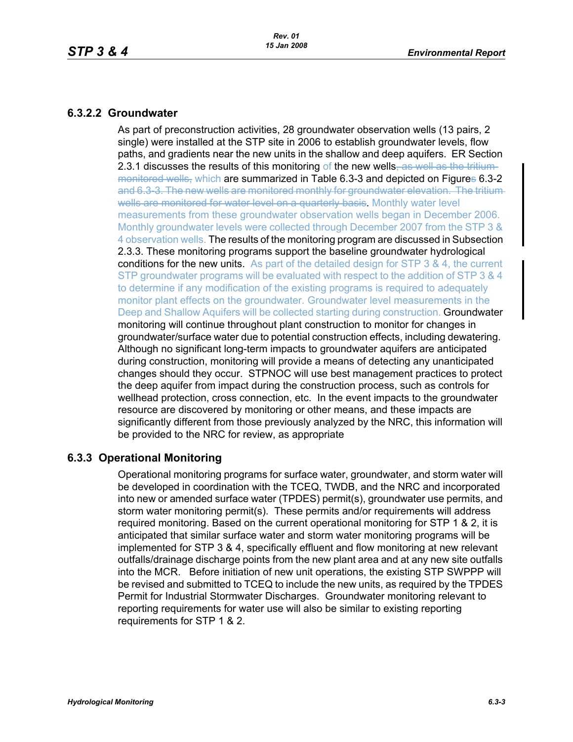### **6.3.2.2 Groundwater**

As part of preconstruction activities, 28 groundwater observation wells (13 pairs, 2 single) were installed at the STP site in 2006 to establish groundwater levels, flow paths, and gradients near the new units in the shallow and deep aquifers. ER Section 2.3.1 discusses the results of this monitoring of the new wells, as well as the tritiummonitored wells, which are summarized in Table 6.3-3 and depicted on Figures 6.3-2 and 6.3-3. The new wells are monitored monthly for groundwater elevation. The tritium wells are monitored for water level on a quarterly basis. Monthly water level measurements from these groundwater observation wells began in December 2006. Monthly groundwater levels were collected through December 2007 from the STP 3 & 4 observation wells. The results of the monitoring program are discussed in Subsection 2.3.3. These monitoring programs support the baseline groundwater hydrological conditions for the new units. As part of the detailed design for STP 3 & 4, the current STP groundwater programs will be evaluated with respect to the addition of STP 3 & 4 to determine if any modification of the existing programs is required to adequately monitor plant effects on the groundwater. Groundwater level measurements in the Deep and Shallow Aquifers will be collected starting during construction. Groundwater monitoring will continue throughout plant construction to monitor for changes in groundwater/surface water due to potential construction effects, including dewatering. Although no significant long-term impacts to groundwater aquifers are anticipated during construction, monitoring will provide a means of detecting any unanticipated changes should they occur. STPNOC will use best management practices to protect the deep aquifer from impact during the construction process, such as controls for wellhead protection, cross connection, etc. In the event impacts to the groundwater resource are discovered by monitoring or other means, and these impacts are significantly different from those previously analyzed by the NRC, this information will be provided to the NRC for review, as appropriate

## **6.3.3 Operational Monitoring**

Operational monitoring programs for surface water, groundwater, and storm water will be developed in coordination with the TCEQ, TWDB, and the NRC and incorporated into new or amended surface water (TPDES) permit(s), groundwater use permits, and storm water monitoring permit(s). These permits and/or requirements will address required monitoring. Based on the current operational monitoring for STP 1 & 2, it is anticipated that similar surface water and storm water monitoring programs will be implemented for STP 3 & 4, specifically effluent and flow monitoring at new relevant outfalls/drainage discharge points from the new plant area and at any new site outfalls into the MCR. Before initiation of new unit operations, the existing STP SWPPP will be revised and submitted to TCEQ to include the new units, as required by the TPDES Permit for Industrial Stormwater Discharges. Groundwater monitoring relevant to reporting requirements for water use will also be similar to existing reporting requirements for STP 1 & 2.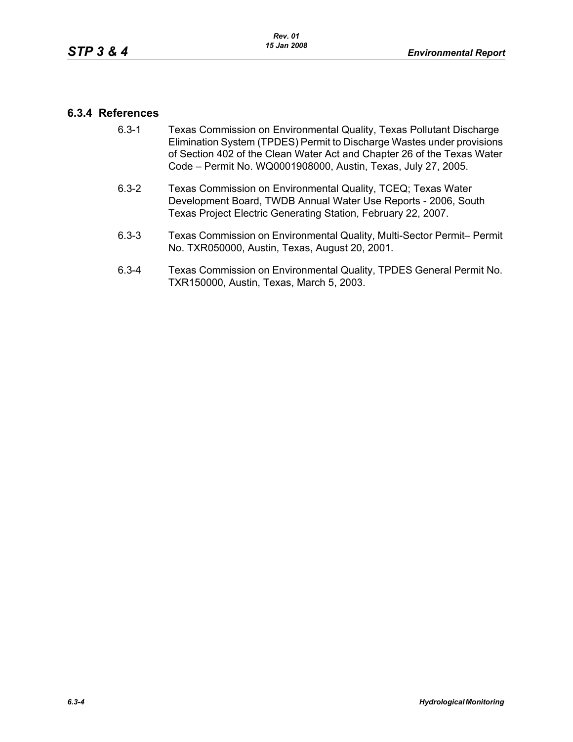### **6.3.4 References**

- 6.3-1 Texas Commission on Environmental Quality, Texas Pollutant Discharge Elimination System (TPDES) Permit to Discharge Wastes under provisions of Section 402 of the Clean Water Act and Chapter 26 of the Texas Water Code – Permit No. WQ0001908000, Austin, Texas, July 27, 2005.
- 6.3-2 Texas Commission on Environmental Quality, TCEQ; Texas Water Development Board, TWDB Annual Water Use Reports - 2006, South Texas Project Electric Generating Station, February 22, 2007.
- 6.3-3 Texas Commission on Environmental Quality, Multi-Sector Permit– Permit No. TXR050000, Austin, Texas, August 20, 2001.
- 6.3-4 Texas Commission on Environmental Quality, TPDES General Permit No. TXR150000, Austin, Texas, March 5, 2003.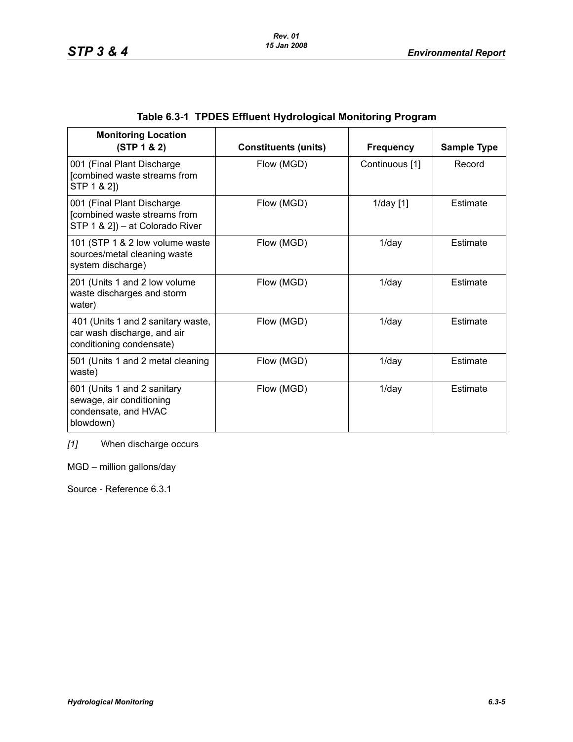|  | Table 6.3-1 TPDES Effluent Hydrological Monitoring Program |  |
|--|------------------------------------------------------------|--|
|--|------------------------------------------------------------|--|

| <b>Monitoring Location</b><br>(STP 1 & 2)                                                     | <b>Constituents (units)</b> | <b>Frequency</b> | <b>Sample Type</b> |
|-----------------------------------------------------------------------------------------------|-----------------------------|------------------|--------------------|
| 001 (Final Plant Discharge<br>[combined waste streams from<br>STP 1 & 2])                     | Flow (MGD)                  | Continuous [1]   | Record             |
| 001 (Final Plant Discharge<br>[combined waste streams from<br>STP 1 & 2]) - at Colorado River | Flow (MGD)                  | $1$ /day $[1]$   | Estimate           |
| 101 (STP 1 & 2 low volume waste<br>sources/metal cleaning waste<br>system discharge)          | Flow (MGD)                  | $1$ /day         | Estimate           |
| 201 (Units 1 and 2 low volume<br>waste discharges and storm<br>water)                         | Flow (MGD)                  | $1$ /day         | Estimate           |
| 401 (Units 1 and 2 sanitary waste,<br>car wash discharge, and air<br>conditioning condensate) | Flow (MGD)                  | $1$ /day         | Estimate           |
| 501 (Units 1 and 2 metal cleaning<br>waste)                                                   | Flow (MGD)                  | $1$ /day         | Estimate           |
| 601 (Units 1 and 2 sanitary<br>sewage, air conditioning<br>condensate, and HVAC<br>blowdown)  | Flow (MGD)                  | $1$ /day         | Estimate           |

*[1]* When discharge occurs

MGD – million gallons/day

Source - Reference 6.3.1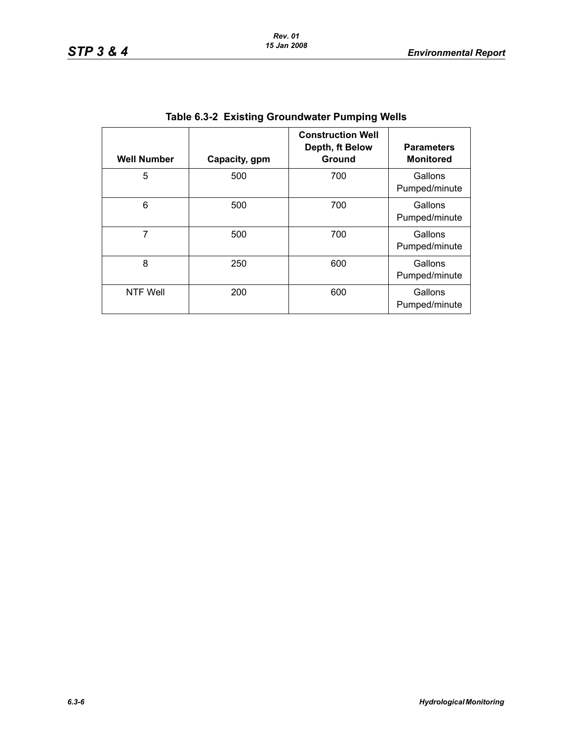| <b>Well Number</b> | Capacity, gpm | <b>Construction Well</b><br>Depth, ft Below<br>Ground | <b>Parameters</b><br><b>Monitored</b> |
|--------------------|---------------|-------------------------------------------------------|---------------------------------------|
| 5                  | 500           | 700                                                   | Gallons<br>Pumped/minute              |
| 6                  | 500           | 700                                                   | Gallons<br>Pumped/minute              |
| 7                  | 500           | 700                                                   | Gallons<br>Pumped/minute              |
| 8                  | 250           | 600                                                   | Gallons<br>Pumped/minute              |
| <b>NTF Well</b>    | 200           | 600                                                   | Gallons<br>Pumped/minute              |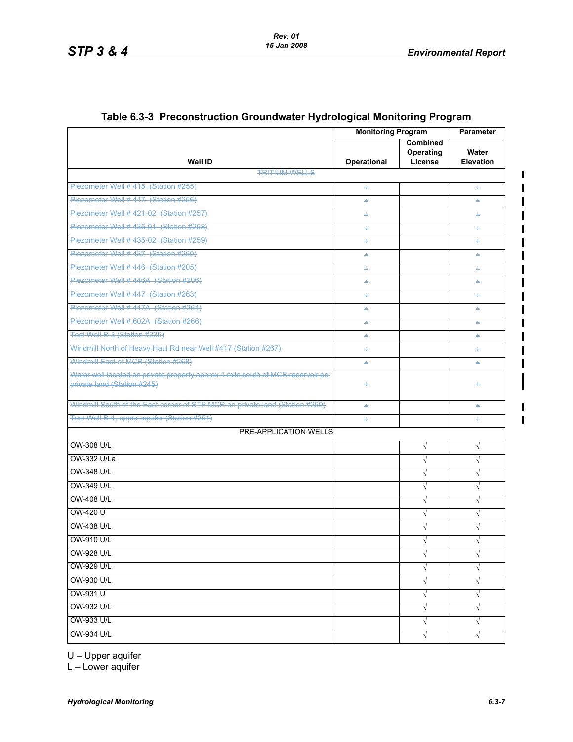$\blacksquare$ 

 $\blacksquare$ 

|                                                                                                                 | <b>Monitoring Program</b> |                                         | Parameter                 |  |
|-----------------------------------------------------------------------------------------------------------------|---------------------------|-----------------------------------------|---------------------------|--|
| <b>Well ID</b>                                                                                                  | Operational               | <b>Combined</b><br>Operating<br>License | Water<br><b>Elevation</b> |  |
| <b>TRITIUM WELLS</b>                                                                                            |                           |                                         |                           |  |
| Piezometer Well #415 (Station #255)                                                                             | $\Rightarrow$             |                                         | ÷                         |  |
| Piezometer Well # 417 (Station #256)                                                                            | ÷                         |                                         | ÷                         |  |
| Piezometer Well #421-02 (Station #257)                                                                          | ÷                         |                                         | ÷.                        |  |
| Piezometer Well # 435-01 (Station #258)                                                                         | ÷                         |                                         | ÷                         |  |
| Piezometer Well # 435-02 (Station #259)                                                                         | ÷                         |                                         | ÷                         |  |
| Piezometer Well #437 (Station #260)                                                                             | ÷                         |                                         | ÷                         |  |
| Piezometer Well # 446 (Station #205)                                                                            | ÷                         |                                         | ÷                         |  |
| Piezometer Well #446A (Station #206)                                                                            | ÷                         |                                         | ÷.                        |  |
| Piezometer Well # 447 (Station #263)                                                                            | ÷                         |                                         | ÷                         |  |
| Piezometer Well #447A (Station #264)                                                                            | ÷                         |                                         | ÷                         |  |
| Piezometer Well # 602A (Station #266)                                                                           | $\Rightarrow$             |                                         | ÷                         |  |
| Test Well B-3 (Station #235)                                                                                    | ÷                         |                                         | ÷                         |  |
| Windmill North of Heavy Haul Rd near Well #417 (Station #267)                                                   | ÷                         |                                         | ÷.                        |  |
| Windmill East of MCR (Station #268)                                                                             | ÷                         |                                         | ÷                         |  |
| Water well located on private property approx. 1 mile south of MCR reservoir on-<br>private land (Station #245) | ÷                         |                                         |                           |  |
| Windmill South of the East corner of STP MCR on private land (Station #269)                                     | ÷                         |                                         | ÷                         |  |
| Test Well B-4, upper aquifer (Station #251)                                                                     | ÷                         |                                         | ÷                         |  |
| <b>PRE-APPLICATION WELLS</b>                                                                                    |                           |                                         |                           |  |
| <b>OW-308 U/L</b>                                                                                               |                           | $\sqrt{ }$                              | $\sqrt{}$                 |  |
| OW-332 U/La                                                                                                     |                           | $\sqrt{}$                               | $\sqrt{}$                 |  |
| <b>OW-348 U/L</b>                                                                                               |                           | $\sqrt{ }$                              | $\sqrt{}$                 |  |
| OW-349 U/L                                                                                                      |                           | $\sqrt{ }$                              | $\sqrt{}$                 |  |
| <b>OW-408 U/L</b>                                                                                               |                           | $\sqrt{ }$                              | $\sqrt{}$                 |  |
| OW-420 U                                                                                                        |                           | $\sqrt{}$                               | $\sqrt{}$                 |  |
| <b>OW-438 U/L</b>                                                                                               |                           | $\sqrt{}$                               | $\sqrt{}$                 |  |
| <b>OW-910 U/L</b>                                                                                               |                           | $\sim$                                  | $\sqrt{ }$                |  |
| OW-928 U/L                                                                                                      |                           | $\sqrt{ }$                              | √                         |  |
| OW-929 U/L                                                                                                      |                           | $\sqrt{ }$                              | $\sqrt{}$                 |  |
| OW-930 U/L                                                                                                      |                           | $\sqrt{ }$                              | $\sqrt{}$                 |  |
| OW-931 U                                                                                                        |                           | $\sqrt{}$                               | √                         |  |
| <b>OW-932 U/L</b>                                                                                               |                           | $\sqrt{}$                               | $\sqrt{}$                 |  |
| OW-933 U/L                                                                                                      |                           | $\sqrt{ }$                              | $\sqrt{}$                 |  |
| <b>OW-934 U/L</b>                                                                                               |                           | $\sqrt{ }$                              | $\sqrt{}$                 |  |
|                                                                                                                 |                           |                                         |                           |  |

#### **Table 6.3-3 Preconstruction Groundwater Hydrological Monitoring Program**

U – Upper aquifer

 $L$  – Lower aquifer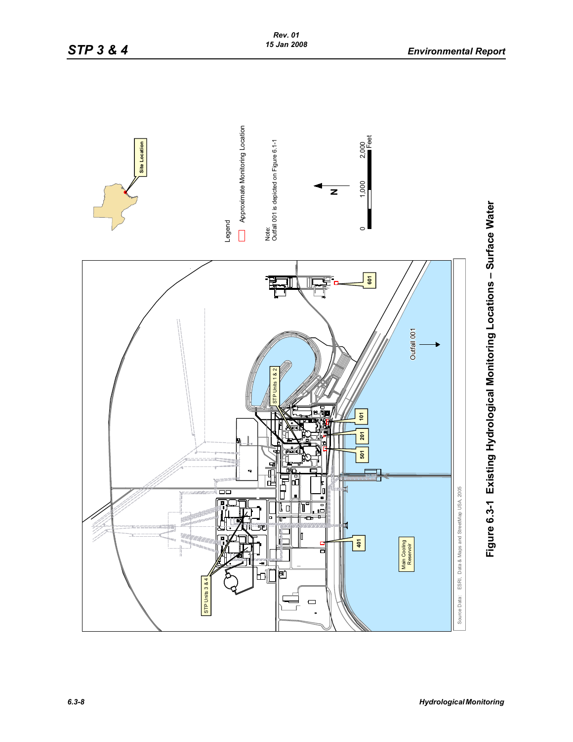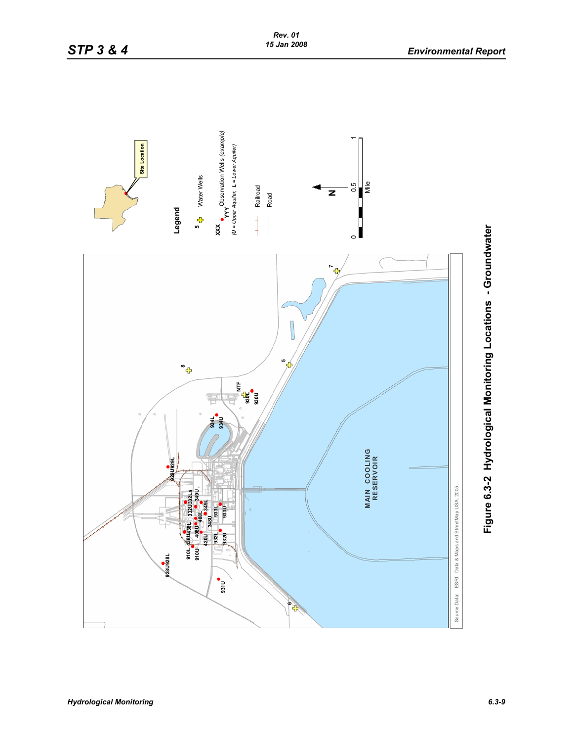

Figure 6.3-2 Hydrological Monitoring Locations - Groundwater **Figure 6.3-2 Hydrological Monitoring Locations - Groundwater**